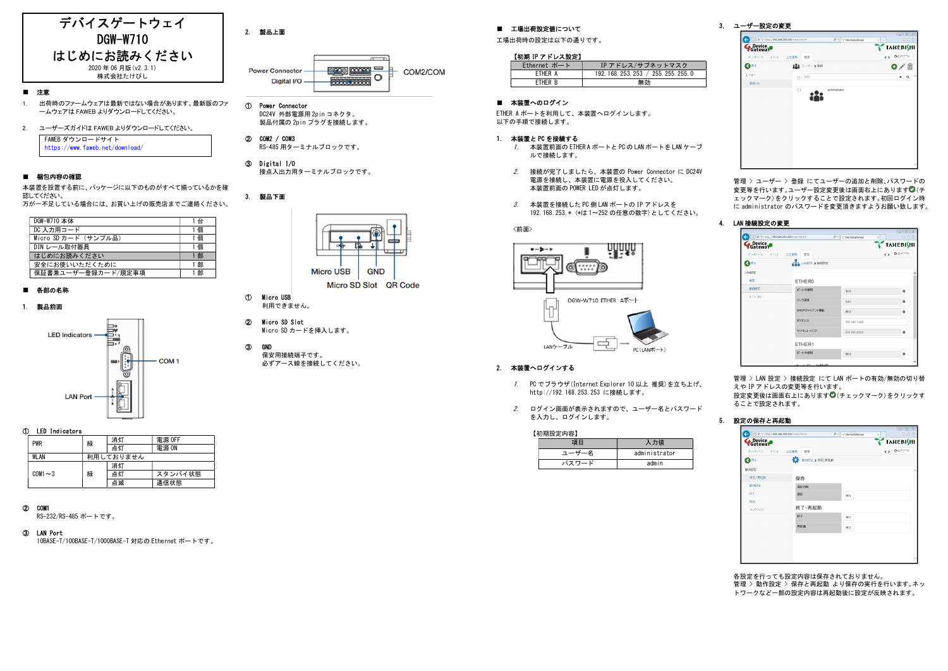

#### ■ 注意

- 1. 出荷時のファームウェアは最新ではない場合があります。最新版のファ ームウェアは FAWEB よりダウンロードしてください。
- 2. ユーザーズガイドは FAWEB よりダウンロードしてください。

FAWEB ダウンロードサイト https://www.faweb.net/download/

#### ■ 梱包内容の確認

本装置を設置する前に、パッケージに以下のものがすべて揃っているかを確 認してください。 万が一不足している場合には、お買い上げの販売店までご連絡ください。

| DGW-W710 本体          | 1台  |
|----------------------|-----|
| DC 入力用コード            | 1個  |
| Micro SD カード (サンプル品) | 1個  |
| DIN レール取付器具          | 1個  |
| はじめにお読みください          | 1 部 |
| 安全にお使いいただくために        | 1 部 |
| 保証書兼ユーザー登録カード/規定事項   | * 部 |

#### ■ 各部の名称

#### 1. 製品前面



#### ① LED Indicators

| 緑 | 消灯        | 電源 OFF  |  |  |
|---|-----------|---------|--|--|
|   | 点灯        | 電源 ON   |  |  |
|   | 利用しておりません |         |  |  |
| 緑 | 消灯        |         |  |  |
|   | 点灯        | スタンバイ状態 |  |  |
|   | 点滅        | 通信状態    |  |  |
|   |           |         |  |  |

# ② COM1

RS-232/RS-485 ポートです。

## ③ LAN Port

10BASE-T/100BASE-T/1000BASE-T 対応の Ethernet ポートです。

# 2. 製品上面



① Power Connector

DC24V 外部電源用 2pin コネクタ。 製品付属の 2pin プラグを接続します。

- ② COM2 / COM3 RS-485 用ターミナルブロックです。
- ③ Digital I/O 接点入出力用ターミナルブロックです。





Micro SD Slot QR Code

#### ① Micro USB 利用できません。

- ② Micro SD Slot Micro SD カードを挿入します。
- ③ GND 保安用接続端子です。 必ずアース線を接続してください。

# ■ 工場出荷設定値について

工場出荷時の設定は以下の通りです。

## 【初期 IP アドレス設定】

| Ethernet ポート   | IP アドレス/サブネットマスク                |
|----------------|---------------------------------|
| FTHFR A        | 192 168 253 253 / 255 255 255 0 |
| <b>FTHFR R</b> | 無効                              |

## ■ 本装置へのログイン

ETHER A ポートを利用して、本装置へログインします。 以下の手順で接続します。

#### 1. 本装置と PC を接続する

- 1. 本装置前面の ETHER A ポートと PC の LAN ポートを LAN ケーブ ルで接続します。
- 2. 接続が完了しましたら、本装置の Power Connector に DC24V 電源を接続し、本装置に電源を投入してください。 本装置前面の POWER LED が点灯します。
- 3. 本装置を接続した PC 側 LAN ポートの IP アドレスを 192.168.253.\* (\*は 1~252 の任意の数字)としてください。



# 2. 本装置へログインする

- 1. PC でブラウザ(Internet Explorer 10 以上 推奨)を立ち上げ、 http://192.168.253.253 に接続します。
- 2. ログイン画面が表示されますので、ユーザー名とパスワード を入力し、ログインします。

| 【初期設定内容】 |               |
|----------|---------------|
| 項目       | 入力値           |
| ユーザー名    | administrator |
| パスワード    | admin         |

# 3. ユーザー設定の変更



管理 > ユーザー > 登録 にてユーザーの追加と削除、パスワードの 変更等を行います。ユーザー設定変更後は画面右上にあります◎(チ ェックマーク)をクリックすることで設定されます。初回ログイン時 に administrator のパスワードを変更頂きますようお願い致します。

#### 4. LAN 接続設定の変更

| Device <sub>ve</sub> |                   |               | <b>TAREBISHI</b> |
|----------------------|-------------------|---------------|------------------|
| データソース イベント ト位連携     | 9259              |               | 4 B G ログアウト      |
| くまる                  | A LANSIE > ELECTE |               |                  |
| LANI3 <sub>3</sub>   |                   |               |                  |
| 坂楼                   | <b>ETHERO</b>     |               |                  |
| 接线信                  | ボートの使用            | 有効            | $\bullet$        |
| ルート のり               | リンク速度             | Auto          | ۰                |
|                      | DHCPクライアント機能      | 無効            | $\circ$          |
|                      | <b>IPZFLZ</b>     | 192.168.1.200 |                  |
|                      | サブネットマスク          | 255.255.255.0 | $\bullet$        |
|                      | ETHER1            |               |                  |
|                      | ボートの使用            |               | $\bullet$        |

管理 > LAN 設定 > 接続設定 にて LAN ポートの有効/無効の切り替 ーー<br>えや IP アドレスの変更等を行います。 設定変更後は画面右上にあります◎ (チェックマーク)をクリックす ることで設定されます。

#### 5. 設定の保存と再起動

| チータソース イベント 上位連携 | <b>WHY</b>         | 4 b Bn979F |
|------------------|--------------------|------------|
| <b>Ratio</b>     | ٠o<br>動作設定 >保存と再起動 |            |
| 新闻标              |                    |            |
| 保存と再お勧           | 保存                 |            |
| 動作院              | 保存日時               |            |
| D <sup>2</sup>   | 保存                 | 実行         |
| 85.01<br>バックアップ  | 終了·再起動             |            |
|                  | 387                | 実行         |
|                  | 再起稳                | 実行         |
|                  |                    |            |

各設定を行っても設定内容は保存されておりません。 管理 > 動作設定 > 保存と再起動 より保存の実行を行います。ネッ トワークなど一部の設定内容は再起動後に設定が反映されます。